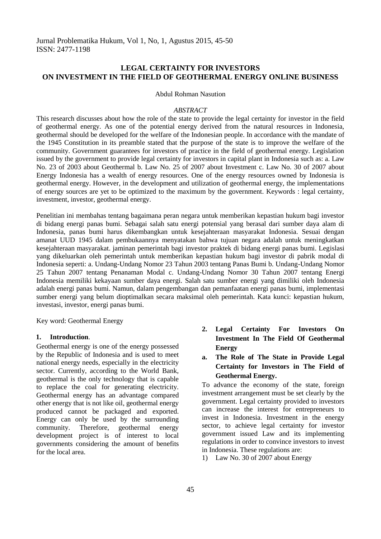# **LEGAL CERTAINTY FOR INVESTORS ON INVESTMENT IN THE FIELD OF GEOTHERMAL ENERGY ONLINE BUSINESS**

#### Abdul Rohman Nasution

#### *ABSTRACT*

This research discusses about how the role of the state to provide the legal certainty for investor in the field of geothermal energy. As one of the potential energy derived from the natural resources in Indonesia, geothermal should be developed for the welfare of the Indonesian people. In accordance with the mandate of the 1945 Constitution in its preamble stated that the purpose of the state is to improve the welfare of the community. Government guarantees for investors of practice in the field of geothermal energy. Legislation issued by the government to provide legal certainty for investors in capital plant in Indonesia such as: a. Law No. 23 of 2003 about Geothermal b. Law No. 25 of 2007 about Investment c. Law No. 30 of 2007 about Energy Indonesia has a wealth of energy resources. One of the energy resources owned by Indonesia is geothermal energy. However, in the development and utilization of geothermal energy, the implementations of energy sources are yet to be optimized to the maximum by the government. Keywords : legal certainty, investment, investor, geothermal energy.

Penelitian ini membahas tentang bagaimana peran negara untuk memberikan kepastian hukum bagi investor di bidang energi panas bumi. Sebagai salah satu energi potensial yang berasal dari sumber daya alam di Indonesia, panas bumi harus dikembangkan untuk kesejahteraan masyarakat Indonesia. Sesuai dengan amanat UUD 1945 dalam pembukaannya menyatakan bahwa tujuan negara adalah untuk meningkatkan kesejahteraan masyarakat. jaminan pemerintah bagi investor praktek di bidang energi panas bumi. Legislasi yang dikeluarkan oleh pemerintah untuk memberikan kepastian hukum bagi investor di pabrik modal di Indonesia seperti: a. Undang-Undang Nomor 23 Tahun 2003 tentang Panas Bumi b. Undang-Undang Nomor 25 Tahun 2007 tentang Penanaman Modal c. Undang-Undang Nomor 30 Tahun 2007 tentang Energi Indonesia memiliki kekayaan sumber daya energi. Salah satu sumber energi yang dimiliki oleh Indonesia adalah energi panas bumi. Namun, dalam pengembangan dan pemanfaatan energi panas bumi, implementasi sumber energi yang belum dioptimalkan secara maksimal oleh pemerintah. Kata kunci: kepastian hukum, investasi, investor, energi panas bumi.

Key word: Geothermal Energy

#### **1. Introduction**.

Geothermal energy is one of the energy possessed by the Republic of Indonesia and is used to meet national energy needs, especially in the electricity sector. Currently, according to the World Bank, geothermal is the only technology that is capable to replace the coal for generating electricity. Geothermal energy has an advantage compared other energy that is not like oil, geothermal energy produced cannot be packaged and exported. Energy can only be used by the surrounding community. Therefore, geothermal energy development project is of interest to local governments considering the amount of benefits for the local area.

- **2. Legal Certainty For Investors On Investment In The Field Of Geothermal Energy**
- **a. The Role of The State in Provide Legal Certainty for Investors in The Field of Geothermal Energy.**

To advance the economy of the state, foreign investment arrangement must be set clearly by the government. Legal certainty provided to investors can increase the interest for entrepreneurs to invest in Indonesia. Investment in the energy sector, to achieve legal certainty for investor government issued Law and its implementing regulations in order to convince investors to invest in Indonesia. These regulations are:

1) Law No. 30 of 2007 about Energy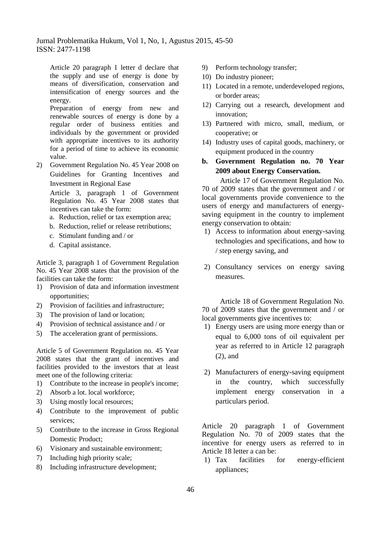Jurnal Problematika Hukum, Vol 1, No, 1, Agustus 2015, 45-50 ISSN: 2477-1198

Article 20 paragraph 1 letter d declare that the supply and use of energy is done by means of diversification, conservation and intensification of energy sources and the energy.

Preparation of energy from new and renewable sources of energy is done by a regular order of business entities and individuals by the government or provided with appropriate incentives to its authority for a period of time to achieve its economic value.

2) Government Regulation No. 45 Year 2008 on Guidelines for Granting Incentives and Investment in Regional Ease

Article 3, paragraph 1 of Government Regulation No. 45 Year 2008 states that incentives can take the form:

- a. Reduction, relief or tax exemption area;
- b. Reduction, relief or release retributions;
- c. Stimulant funding and / or
- d. Capital assistance.

Article 3, paragraph 1 of Government Regulation No. 45 Year 2008 states that the provision of the facilities can take the form:

- 1) Provision of data and information investment opportunities;
- 2) Provision of facilities and infrastructure;
- 3) The provision of land or location;
- 4) Provision of technical assistance and / or
- 5) The acceleration grant of permissions.

Article 5 of Government Regulation no. 45 Year 2008 states that the grant of incentives and facilities provided to the investors that at least meet one of the following criteria:

- 1) Contribute to the increase in people's income;
- 2) Absorb a lot. local workforce;
- 3) Using mostly local resources;
- 4) Contribute to the improvement of public services;
- 5) Contribute to the increase in Gross Regional Domestic Product;
- 6) Visionary and sustainable environment;
- 7) Including high priority scale;
- 8) Including infrastructure development;
- 9) Perform technology transfer;
- 10) Do industry pioneer;
- 11) Located in a remote, underdeveloped regions, or border areas;
- 12) Carrying out a research, development and innovation;
- 13) Partnered with micro, small, medium, or cooperative; or
- 14) Industry uses of capital goods, machinery, or equipment produced in the country
- **b. Government Regulation no. 70 Year 2009 about Energy Conservation.**

Article 17 of Government Regulation No. 70 of 2009 states that the government and / or local governments provide convenience to the users of energy and manufacturers of energysaving equipment in the country to implement energy conservation to obtain:

- 1) Access to information about energy-saving technologies and specifications, and how to / step energy saving, and
- 2) Consultancy services on energy saving measures.

Article 18 of Government Regulation No. 70 of 2009 states that the government and / or local governments give incentives to:

- 1) Energy users are using more energy than or equal to 6,000 tons of oil equivalent per year as referred to in Article 12 paragraph (2), and
- 2) Manufacturers of energy-saving equipment in the country, which successfully implement energy conservation in a particulars period.

Article 20 paragraph 1 of Government Regulation No. 70 of 2009 states that the incentive for energy users as referred to in Article 18 letter a can be:

1) Tax facilities for energy-efficient appliances;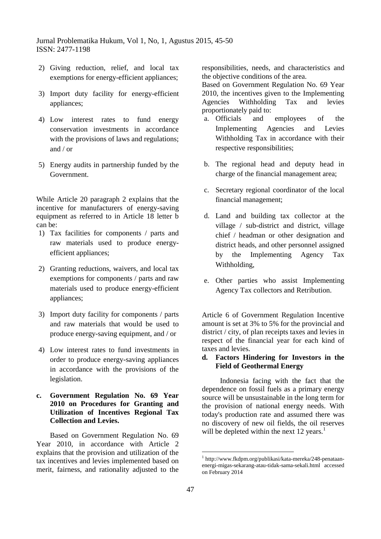Jurnal Problematika Hukum, Vol 1, No, 1, Agustus 2015, 45-50 ISSN: 2477-1198

- 2) Giving reduction, relief, and local tax exemptions for energy-efficient appliances;
- 3) Import duty facility for energy-efficient appliances;
- 4) Low interest rates to fund energy conservation investments in accordance with the provisions of laws and regulations; and / or
- 5) Energy audits in partnership funded by the Government.

While Article 20 paragraph 2 explains that the incentive for manufacturers of energy-saving equipment as referred to in Article 18 letter b can be:

- 1) Tax facilities for components / parts and raw materials used to produce energyefficient appliances;
- 2) Granting reductions, waivers, and local tax exemptions for components / parts and raw materials used to produce energy-efficient appliances;
- 3) Import duty facility for components / parts and raw materials that would be used to produce energy-saving equipment, and / or
- 4) Low interest rates to fund investments in order to produce energy-saving appliances in accordance with the provisions of the legislation.
- **c. Government Regulation No. 69 Year 2010 on Procedures for Granting and Utilization of Incentives Regional Tax Collection and Levies.**

Based on Government Regulation No. 69 Year 2010, in accordance with Article 2 explains that the provision and utilization of the tax incentives and levies implemented based on merit, fairness, and rationality adjusted to the

responsibilities, needs, and characteristics and the objective conditions of the area.

Based on Government Regulation No. 69 Year 2010, the incentives given to the Implementing Agencies Withholding Tax and levies proportionately paid to:

- a. Officials and employees of the Implementing Agencies and Levies Withholding Tax in accordance with their respective responsibilities;
- b. The regional head and deputy head in charge of the financial management area;
- c. Secretary regional coordinator of the local financial management;
- d. Land and building tax collector at the village / sub-district and district, village chief / headman or other designation and district heads, and other personnel assigned by the Implementing Agency Tax Withholding,
- e. Other parties who assist Implementing Agency Tax collectors and Retribution.

Article 6 of Government Regulation Incentive amount is set at 3% to 5% for the provincial and district / city, of plan receipts taxes and levies in respect of the financial year for each kind of taxes and levies.

## **d. Factors Hindering for Investors in the Field of Geothermal Energy**

Indonesia facing with the fact that the dependence on fossil fuels as a primary energy source will be unsustainable in the long term for the provision of national energy needs. With today's production rate and assumed there was no discovery of new oil fields, the oil reserves will be depleted within the next  $12 \text{ years.}^1$ 

<u>.</u>

<sup>1</sup> http://www.fkdpm.org/publikasi/kata-mereka/248-penataanenergi-migas-sekarang-atau-tidak-sama-sekali.html accessed on February 2014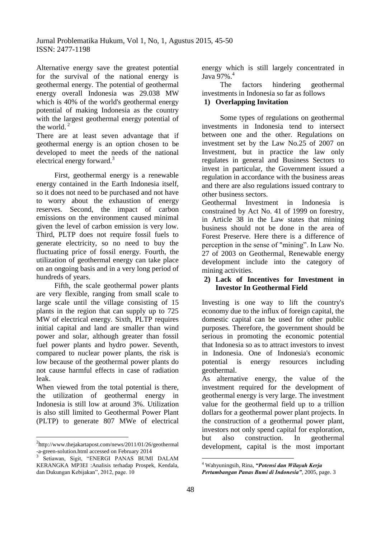Alternative energy save the greatest potential for the survival of the national energy is geothermal energy. The potential of geothermal energy overall Indonesia was 29.038 MW which is 40% of the world's geothermal energy potential of making Indonesia as the country with the largest geothermal energy potential of the world. $<sup>2</sup>$ </sup>

There are at least seven advantage that if geothermal energy is an option chosen to be developed to meet the needs of the national electrical energy forward.<sup>3</sup>

First, geothermal energy is a renewable energy contained in the Earth Indonesia itself, so it does not need to be purchased and not have to worry about the exhaustion of energy reserves. Second, the impact of carbon emissions on the environment caused minimal given the level of carbon emission is very low. Third, PLTP does not require fossil fuels to generate electricity, so no need to buy the fluctuating price of fossil energy. Fourth, the utilization of geothermal energy can take place on an ongoing basis and in a very long period of hundreds of years.

Fifth, the scale geothermal power plants are very flexible, ranging from small scale to large scale until the village consisting of 15 plants in the region that can supply up to 725 MW of electrical energy. Sixth, PLTP requires initial capital and land are smaller than wind power and solar, although greater than fossil fuel power plants and hydro power. Seventh, compared to nuclear power plants, the risk is low because of the geothermal power plants do not cause harmful effects in case of radiation leak.

When viewed from the total potential is there, the utilization of geothermal energy in Indonesia is still low at around 3%. Utilization is also still limited to Geothermal Power Plant (PLTP) to generate 807 MWe of electrical

 $\overline{a}$ 

energy which is still largely concentrated in Java 97%.<sup>4</sup>

The factors hindering geothermal investments in Indonesia so far as follows

# **1) Overlapping Invitation**

Some types of regulations on geothermal investments in Indonesia tend to intersect between one and the other. Regulations on investment set by the Law No.25 of 2007 on Investment, but in practice the law only regulates in general and Business Sectors to invest in particular, the Government issued a regulation in accordance with the business areas and there are also regulations issued contrary to other business sectors.

Geothermal Investment in Indonesia is constrained by Act No. 41 of 1999 on forestry, in Article 38 in the Law states that mining business should not be done in the area of Forest Preserve. Here there is a difference of perception in the sense of "mining". In Law No. 27 of 2003 on Geothermal, Renewable energy development include into the category of mining activities.

## **2) Lack of Incentives for Investment in Investor In Geothermal Field**

Investing is one way to lift the country's economy due to the influx of foreign capital, the domestic capital can be used for other public purposes. Therefore, the government should be serious in promoting the economic potential that Indonesia so as to attract investors to invest in Indonesia. One of Indonesia's economic potential is energy resources including geothermal.

As alternative energy, the value of the investment required for the development of geothermal energy is very large. The investment value for the geothermal field up to a trillion dollars for a geothermal power plant projects. In the construction of a geothermal power plant, investors not only spend capital for exploration, but also construction. In geothermal development, capital is the most important

1

<sup>&</sup>lt;sup>2</sup>http://www.thejakartapost.com/news/2011/01/26/geothermal -a-green-solution.html accessed on February 2014

<sup>3</sup> Setiawan, Sigit, "ENERGI PANAS BUMI DALAM KERANGKA MP3EI :Analisis terhadap Prospek, Kendala, dan Dukungan Kebijakan", 2012, page. 10

<sup>4</sup> Wahyuningsih, Rina, *"Potensi dan Wilayah Kerja Pertambangan Panas Bumi di Indonesia",* 2005, page. 3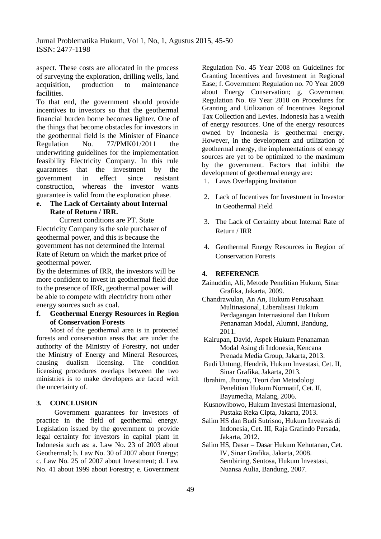aspect. These costs are allocated in the process of surveying the exploration, drilling wells, land acquisition, production to maintenance facilities.

To that end, the government should provide incentives to investors so that the geothermal financial burden borne becomes lighter. One of the things that become obstacles for investors in the geothermal field is the Minister of Finance Regulation No. 77/PMK01/2011 the underwriting guidelines for the implementation feasibility Electricity Company. In this rule guarantees that the investment by the government in effect since resistant construction, whereas the investor wants guarantee is valid from the exploration phase.

### **e. The Lack of Certainty about Internal Rate of Return / IRR.**

Current conditions are PT. State Electricity Company is the sole purchaser of geothermal power, and this is because the government has not determined the Internal Rate of Return on which the market price of geothermal power.

By the determines of IRR, the investors will be more confident to invest in geothermal field due to the presence of IRR, geothermal power will be able to compete with electricity from other energy sources such as coal.

## **f. Geothermal Energy Resources in Region of Conservation Forests**

Most of the geothermal area is in protected forests and conservation areas that are under the authority of the Ministry of Forestry, not under the Ministry of Energy and Mineral Resources, causing dualism licensing. The condition licensing procedures overlaps between the two ministries is to make developers are faced with the uncertainty of.

## **3. CONCLUSION**

Government guarantees for investors of practice in the field of geothermal energy. Legislation issued by the government to provide legal certainty for investors in capital plant in Indonesia such as: a. Law No. 23 of 2003 about Geothermal; b. Law No. 30 of 2007 about Energy; c. Law No. 25 of 2007 about Investment; d. Law No. 41 about 1999 about Forestry; e. Government

Regulation No. 45 Year 2008 on Guidelines for Granting Incentives and Investment in Regional Ease; f. Government Regulation no. 70 Year 2009 about Energy Conservation; g. Government Regulation No. 69 Year 2010 on Procedures for Granting and Utilization of Incentives Regional Tax Collection and Levies. Indonesia has a wealth of energy resources. One of the energy resources owned by Indonesia is geothermal energy. However, in the development and utilization of geothermal energy, the implementations of energy sources are yet to be optimized to the maximum by the government. Factors that inhibit the development of geothermal energy are:

- 1. Laws Overlapping Invitation
- 2. Lack of Incentives for Investment in Investor In Geothermal Field
- 3. The Lack of Certainty about Internal Rate of Return / IRR
- 4. Geothermal Energy Resources in Region of Conservation Forests

#### **4. REFERENCE**

- Zainuddin, Ali, Metode Penelitian Hukum, Sinar Grafika, Jakarta, 2009.
- Chandrawulan, An An, Hukum Perusahaan Multinasional, Liberalisasi Hukum Perdagangan Internasional dan Hukum Penanaman Modal, Alumni, Bandung, 2011.
- Kairupan, David, Aspek Hukum Penanaman Modal Asing di Indonesia, Kencana Prenada Media Group, Jakarta, 2013.
- Budi Untung, Hendrik, Hukum Investasi, Cet. II, Sinar Grafika, Jakarta, 2013.
- Ibrahim, Jhonny, Teori dan Metodologi Penelitian Hukum Normatif, Cet. II, Bayumedia, Malang, 2006.
- Kusnowibowo, Hukum Investasi Internasional, Pustaka Reka Cipta, Jakarta, 2013.
- Salim HS dan Budi Sutrisno, Hukum Investais di Indonesia, Cet. III, Raja Grafindo Persada, Jakarta, 2012.
- Salim HS, Dasar Dasar Hukum Kehutanan, Cet. IV, Sinar Grafika, Jakarta, 2008. Sembiring, Sentosa, Hukum Investasi, Nuansa Aulia, Bandung, 2007.